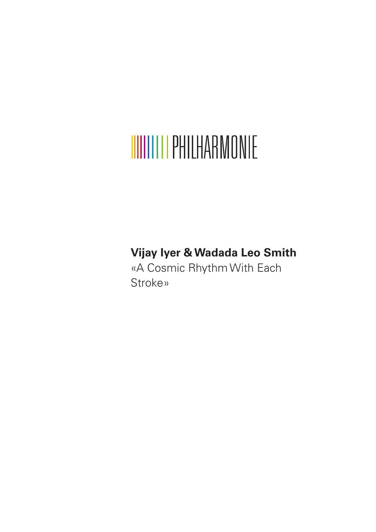# **WIIIIIII PHILHARMONIE**

## **Vijay Iyer & Wadada Leo Smith**

«A Cosmic Rhythm With Each Stroke»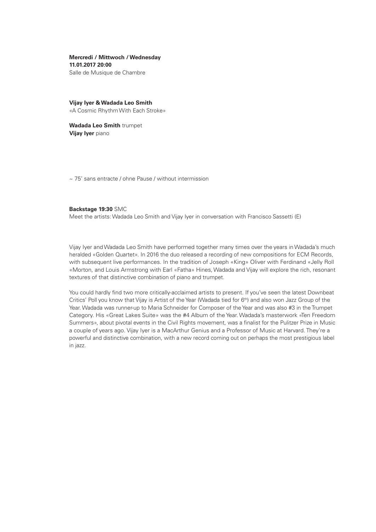**Mercredi / Mittwoch / Wednesday 11.01.2017 20:00** Salle de Musique de Chambre

**Vijay Iyer & Wadada Leo Smith** «A Cosmic Rhythm With Each Stroke»

**Wadada Leo Smith** trumpet **Vijay Iyer** piano

~ 75' sans entracte / ohne Pause / without intermission

#### **Backstage 19:30** SMC

Meet the artists: Wadada Leo Smith and Vijay Iyer in conversation with Francisco Sassetti (E)

Vijay Iyer and Wadada Leo Smith have performed together many times over the years in Wadada's much heralded «Golden Quartet». In 2016 the duo released a recording of new compositions for ECM Records, with subsequent live performances. In the tradition of Joseph «King» Oliver with Ferdinand «Jelly Roll «Morton, and Louis Armstrong with Earl «Fatha» Hines, Wadada and Vijay will explore the rich, resonant textures of that distinctive combination of piano and trumpet.

You could hardly find two more critically-acclaimed artists to present. If you've seen the latest Downbeat Critics' Poll you know that Vijay is Artist of the Year (Wadada tied for 6<sup>th</sup>) and also won Jazz Group of the Year. Wadada was runner-up to Maria Schneider for Composer of the Year and was also #3 in the Trumpet Category. His «Great Lakes Suite» was the #4 Album of the Year. Wadada's masterwork «Ten Freedom Summers», about pivotal events in the Civil Rights movement, was a finalist for the Pulitzer Prize in Music a couple of years ago. Vijay Iyer is a MacArthur Genius and a Professor of Music at Harvard. They're a powerful and distinctive combination, with a new record coming out on perhaps the most prestigious label in jazz.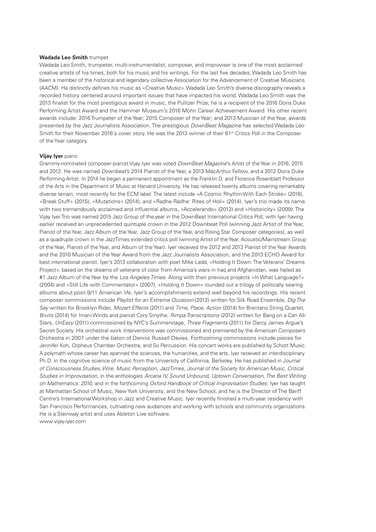#### **Wadada Leo Smith** trumpet

Wadada Leo Smith, trumpeter, multi-instrumentalist, composer, and improviser is one of the most acclaimed creative artists of his times, both for his music and his writings. For the last five decades, Wadada Leo Smith has been a member of the historical and legendary collective Association for the Advancement of Creative Musicians (AACM). He distinctly defines his music as «Creative Music». Wadada Leo Smith's diverse discography reveals a recorded history centered around important issues that have impacted his world. Wadada Leo Smith was the 2013 finalist for the most prestigious award in music, the Pulitzer Prize; he is a recipient of the 2016 Doris Duke Performing Artist Award and the Hammer Museum's 2016 Mohn Career Achievement Award. His other recent awards include: 2016 Trumpeter of the Year; 2015 Composer of the Year; and 2013 Musician of the Year, awards presented by the Jazz Journalists Association. The prestigious *DownBeat Magazine* has selected Wadada Leo Smith for their November 2016's cover story. He was the 2013 winner of their 61<sup>st</sup> Critics Poll in the Composer of the Year category.

#### **Vijay Iyer** piano

Grammy-nominated composer-pianist Vijay Iyer was voted *DownBeat Magazine*'s Artist of the Year in 2016, 2015 and 2012. He was named *Downbeat*'s 2014 Pianist of the Year, a 2013 MacArthur Fellow, and a 2012 Doris Duke Performing Artist. In 2014 he began a permanent appointment as the Franklin D. and Florence Rosenblatt Professor of the Arts in the Department of Music at Harvard University. He has released twenty albums covering remarkably diverse terrain, most recently for the ECM label. The latest include «A Cosmic Rhythm With Each Stroke» (2016), «Break Stuff» (2015), «Mutations» (2014), and «Radhe Radhe: Rites of Holi» (2014). Iyer's trio made its name with two tremendously acclaimed and influential albums, «Accelerando» (2012) and «Historicity» (2009). The Vijay Iyer Trio was named 2015 Jazz Group of the year in the DownBeat International Critics Poll, with Iyer having earlier received an unprecedented quintuple crown in the 2012 Downbeat Poll (winning Jazz Artist of the Year, Pianist of the Year, Jazz Album of the Year, Jazz Group of the Year, and Rising Star Composer categories), as well as a quadruple crown in the JazzTimes extended critics poll (winning Artist of the Year, Acoustic/Mainstream Group of the Year, Pianist of the Year, and Album of the Year). Iyer received the 2012 and 2013 Pianist of the Year Awards and the 2010 Musician of the Year Award from the Jazz Journalists Association, and the 2013 ECHO Award for best international pianist. Iyer's 2013 collaboration with poet Mike Ladd, «Holding It Down: The Veterans' Dreams Project», based on the dreams of veterans of color from America's wars in Iraq and Afghanistan, was hailed as #1 Jazz Album of the Year by the *Los Angeles Times.* Along with their previous projects «In What Language?» (2004) and «Still Life with Commentator» (2007), «Holding It Down» rounded out a trilogy of politically searing albums about post-9/11 American life. Iyer's accomplishments extend well beyond his recordings. His recent composer commissions include *Playlist for an Extreme Occasion* (2012) written for Silk Road Ensemble, *Dig The Say* written for Brooklyn Rider, *Mozart Effects* (2011) and *Time, Place, Action* (2014) for Brentano String Quartet, *Bruits* (2014) for Imani Winds and pianist Cory Smythe, *Rimpa Transcriptions* (2012) written for Bang on a Can All-Stars, *UnEasy* (2011) commissioned by NYC's Summerstage, *Three Fragments* (2011) for Darcy James Argue's Secret Society. His orchestral work *Interventions* was commissioned and premiered by the American Composers Orchestra in 2007 under the baton of Dennis Russell Davies. Forthcoming commissions include pieces for Jennifer Koh, Orpheus Chamber Orchestra, and So Percussion. His concert works are published by Schott Music. A polymath whose career has spanned the sciences, the humanities, and the arts, Iyer received an interdisciplinary Ph.D. in the cognitive science of music from the University of California, Berkeley. He has published in J*ournal of Consciousness Studies, Wire, Music Perception, JazzTimes, Journal of the Society for American Music, Critical Studies in Improvisation,* in the anthologies *Arcana IV, Sound Unbound, Uptown Conversation, The Best Writing on Mathematics: 2010,* and in the forthcoming *Oxford Handbook of Critical Improvisation Studies.* Iyer has taught at Manhattan School of Music, New York University, and the New School, and he is the Director of The Banff Centre's International Workshop in Jazz and Creative Music. Iyer recently finished a multi-year residency with San Francisco Performances, cultivating new audiences and working with schools and community organizations. He is a Steinway artist and uses Ableton Live software. www.vijay-iyer.com